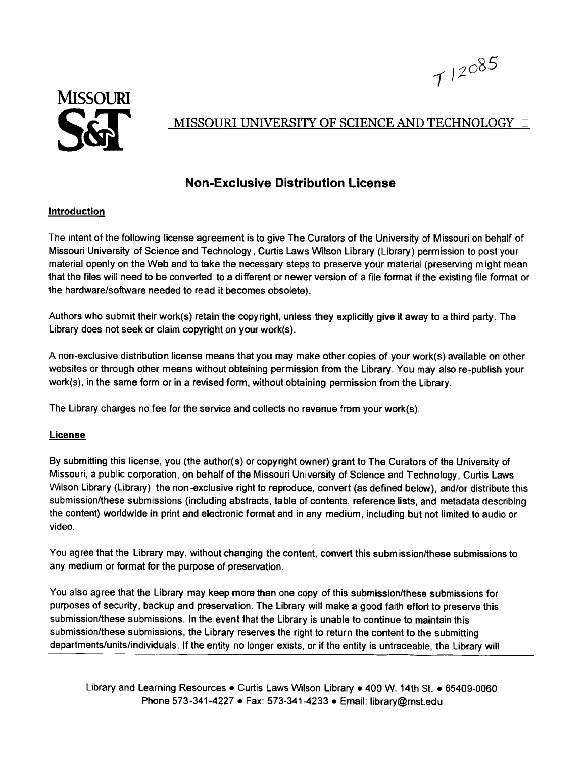



## MISSOURI UNIVERSITY OF SCIENCE AND TECHNOLOGY D

## **Non-Exclusive Distribution License**

## **Introduction**

The intent of the following license agreement is to give The Curators of the University of Missouri on behalf of Missouri University of Science and Technology, Curtis Laws Wilson Library (Library) permission to post your material openly on the Web and to take the necessary steps to preserve your material (preserving m ight mean that the files will need to be converted to a different or newer version of a file format if the existing file format or the hardware/software needed to read it becomes obsolete).

Authors who submit their work(s) retain the copyright, unless they explicitly give it away to a third party. The Library does not seek or claim copyright on your work(s).

A non-exclusive distribution license means that you may make other copies of your work(s) available on other websites or through other means without obtaining permission from the Library. You may also re-publish your work(s), in the same form or in a revised form, without obtaining permission from the Library.

The Library charges no fee for the service and collects no revenue from your work(s).

## **License**

By submitting this license, you (the author(s) or copyright owner) grant to The Curators of the University of Missouri, a public corporation, on behalf of the Missouri University of Science and Technology, Curtis Laws Wilson Library (Library) the non-exclusive right to reproduce, convert (as defined below), and/or distribute this submission/these submissions (including abstracts, table of contents, reference lists, and metadata describing the content) worldwide in print and electronic format and in any medium, including but not limited to audio or video.

You agree that the Library may, without changing the content, convert this submission/these submissions to any medium or format for the purpose of preservation.

You also agree that the Library may keep more than one copy of this submission/these submissions for purposes of security, backup and preservation. The Library will make a good faith effort to preserve this submission/these submissions. In the event that the Library is unable to continue to maintain this submission/these submissions, the Library reserves the right to return the content to the submitting departments/units/individuals. If the entity no longer exists, or if the entity is untraceable, the Library will